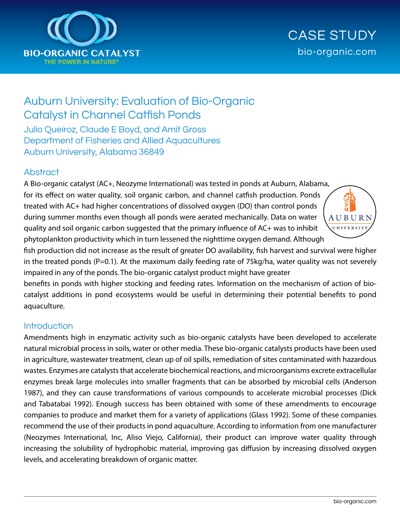

# CASE STUDY bio-organic.com

# Auburn University: Evaluation of Bio-Organic Catalyst in Channel Catfish Ponds

Julio Queiroz, Claude E Boyd, and Amit Gross Department of Fisheries and Allied Aquacultures Auburn University, Alabama 36849

#### **Abstract**

A Bio-organic catalyst (AC+, Neozyme International) was tested in ponds at Auburn, Alabama, for its effect on water quality, soil organic carbon, and channel catfish production. Ponds treated with AC+ had higher concentrations of dissolved oxygen (DO) than control ponds during summer months even though all ponds were aerated mechanically. Data on water quality and soil organic carbon suggested that the primary influence of AC+ was to inhibit phytoplankton productivity which in turn lessened the nighttime oxygen demand. Although



fish production did not increase as the result of greater DO availability, fish harvest and survival were higher in the treated ponds (P=0.1). At the maximum daily feeding rate of 75kg/ha, water quality was not severely impaired in any of the ponds. The bio-organic catalyst product might have greater

benefits in ponds with higher stocking and feeding rates. Information on the mechanism of action of biocatalyst additions in pond ecosystems would be useful in determining their potential benefits to pond aquaculture.

## **Introduction**

Amendments high in enzymatic activity such as bio-organic catalysts have been developed to accelerate natural microbial process in soils, water or other media. These bio-organic catalysts products have been used in agriculture, wastewater treatment, clean up of oil spills, remediation of sites contaminated with hazardous wastes. Enzymes are catalysts that accelerate biochemical reactions, and microorganisms excrete extracellular enzymes break large molecules into smaller fragments that can be absorbed by microbial cells (Anderson 1987), and they can cause transformations of various compounds to accelerate microbial processes (Dick and Tabatabai 1992). Enough success has been obtained with some of these amendments to encourage companies to produce and market them for a variety of applications (Glass 1992). Some of these companies recommend the use of their products in pond aquaculture. According to information from one manufacturer (Neozymes International, Inc, Aliso Viejo, California), their product can improve water quality through increasing the solubility of hydrophobic material, improving gas diffusion by increasing dissolved oxygen levels, and accelerating breakdown of organic matter.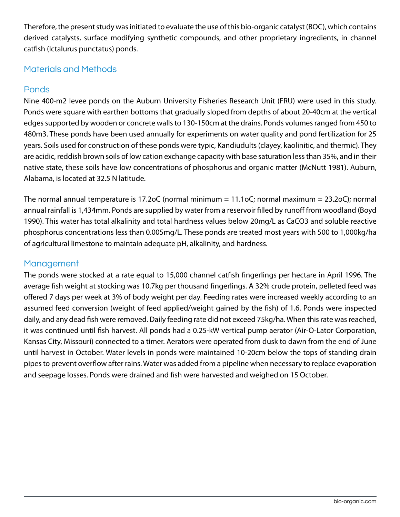Therefore, the present study was initiated to evaluate the use of this bio-organic catalyst (BOC), which contains derived catalysts, surface modifying synthetic compounds, and other proprietary ingredients, in channel catfish (Ictalurus punctatus) ponds.

# Materials and Methods

# **Ponds**

Nine 400-m2 levee ponds on the Auburn University Fisheries Research Unit (FRU) were used in this study. Ponds were square with earthen bottoms that gradually sloped from depths of about 20-40cm at the vertical edges supported by wooden or concrete walls to 130-150cm at the drains. Ponds volumes ranged from 450 to 480m3. These ponds have been used annually for experiments on water quality and pond fertilization for 25 years. Soils used for construction of these ponds were typic, Kandiudults (clayey, kaolinitic, and thermic). They are acidic, reddish brown soils of low cation exchange capacity with base saturation less than 35%, and in their native state, these soils have low concentrations of phosphorus and organic matter (McNutt 1981). Auburn, Alabama, is located at 32.5 N latitude.

The normal annual temperature is 17.2oC (normal minimum = 11.1oC; normal maximum = 23.2oC); normal annual rainfall is 1,434mm. Ponds are supplied by water from a reservoir filled by runoff from woodland (Boyd 1990). This water has total alkalinity and total hardness values below 20mg/L as CaCO3 and soluble reactive phosphorus concentrations less than 0.005mg/L. These ponds are treated most years with 500 to 1,000kg/ha of agricultural limestone to maintain adequate pH, alkalinity, and hardness.

# **Management**

The ponds were stocked at a rate equal to 15,000 channel catfish fingerlings per hectare in April 1996. The average fish weight at stocking was 10.7kg per thousand fingerlings. A 32% crude protein, pelleted feed was offered 7 days per week at 3% of body weight per day. Feeding rates were increased weekly according to an assumed feed conversion (weight of feed applied/weight gained by the fish) of 1.6. Ponds were inspected daily, and any dead fish were removed. Daily feeding rate did not exceed 75kg/ha. When this rate was reached, it was continued until fish harvest. All ponds had a 0.25-kW vertical pump aerator (Air-O-Lator Corporation, Kansas City, Missouri) connected to a timer. Aerators were operated from dusk to dawn from the end of June until harvest in October. Water levels in ponds were maintained 10-20cm below the tops of standing drain pipes to prevent overflow after rains. Water was added from a pipeline when necessary to replace evaporation and seepage losses. Ponds were drained and fish were harvested and weighed on 15 October.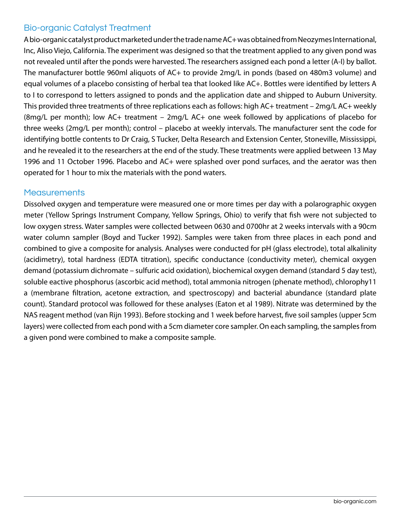## Bio-organic Catalyst Treatment

A bio-organic catalyst product marketed under the trade name AC+ was obtained from Neozymes International, Inc, Aliso Viejo, California. The experiment was designed so that the treatment applied to any given pond was not revealed until after the ponds were harvested. The researchers assigned each pond a letter (A-I) by ballot. The manufacturer bottle 960ml aliquots of AC+ to provide 2mg/L in ponds (based on 480m3 volume) and equal volumes of a placebo consisting of herbal tea that looked like AC+. Bottles were identified by letters A to I to correspond to letters assigned to ponds and the application date and shipped to Auburn University. This provided three treatments of three replications each as follows: high AC+ treatment – 2mg/L AC+ weekly (8mg/L per month); low AC+ treatment – 2mg/L AC+ one week followed by applications of placebo for three weeks (2mg/L per month); control – placebo at weekly intervals. The manufacturer sent the code for identifying bottle contents to Dr Craig, S Tucker, Delta Research and Extension Center, Stoneville, Mississippi, and he revealed it to the researchers at the end of the study. These treatments were applied between 13 May 1996 and 11 October 1996. Placebo and AC+ were splashed over pond surfaces, and the aerator was then operated for 1 hour to mix the materials with the pond waters.

#### **Measurements**

Dissolved oxygen and temperature were measured one or more times per day with a polarographic oxygen meter (Yellow Springs Instrument Company, Yellow Springs, Ohio) to verify that fish were not subjected to low oxygen stress. Water samples were collected between 0630 and 0700hr at 2 weeks intervals with a 90cm water column sampler (Boyd and Tucker 1992). Samples were taken from three places in each pond and combined to give a composite for analysis. Analyses were conducted for pH (glass electrode), total alkalinity (acidimetry), total hardness (EDTA titration), specific conductance (conductivity meter), chemical oxygen demand (potassium dichromate – sulfuric acid oxidation), biochemical oxygen demand (standard 5 day test), soluble eactive phosphorus (ascorbic acid method), total ammonia nitrogen (phenate method), chlorophy11 a (membrane filtration, acetone extraction, and spectroscopy) and bacterial abundance (standard plate count). Standard protocol was followed for these analyses (Eaton et al 1989). Nitrate was determined by the NAS reagent method (van Rijn 1993). Before stocking and 1 week before harvest, five soil samples (upper 5cm layers) were collected from each pond with a 5cm diameter core sampler. On each sampling, the samples from a given pond were combined to make a composite sample.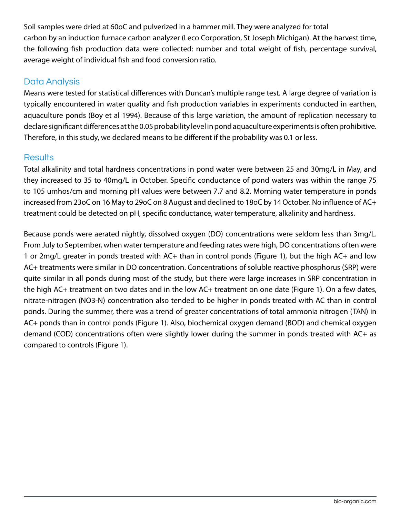Soil samples were dried at 60oC and pulverized in a hammer mill. They were analyzed for total carbon by an induction furnace carbon analyzer (Leco Corporation, St Joseph Michigan). At the harvest time, the following fish production data were collected: number and total weight of fish, percentage survival, average weight of individual fish and food conversion ratio.

## Data Analysis

Means were tested for statistical differences with Duncan's multiple range test. A large degree of variation is typically encountered in water quality and fish production variables in experiments conducted in earthen, aquaculture ponds (Boy et al 1994). Because of this large variation, the amount of replication necessary to declare significant differences at the 0.05 probability level in pond aquaculture experiments is often prohibitive. Therefore, in this study, we declared means to be different if the probability was 0.1 or less.

## Results

Total alkalinity and total hardness concentrations in pond water were between 25 and 30mg/L in May, and they increased to 35 to 40mg/L in October. Specific conductance of pond waters was within the range 75 to 105 umhos/cm and morning pH values were between 7.7 and 8.2. Morning water temperature in ponds increased from 23oC on 16 May to 29oC on 8 August and declined to 18oC by 14 October. No influence of AC+ treatment could be detected on pH, specific conductance, water temperature, alkalinity and hardness.

Because ponds were aerated nightly, dissolved oxygen (DO) concentrations were seldom less than 3mg/L. From July to September, when water temperature and feeding rates were high, DO concentrations often were 1 or 2mg/L greater in ponds treated with AC+ than in control ponds (Figure 1), but the high AC+ and low AC+ treatments were similar in DO concentration. Concentrations of soluble reactive phosphorus (SRP) were quite similar in all ponds during most of the study, but there were large increases in SRP concentration in the high AC+ treatment on two dates and in the low AC+ treatment on one date (Figure 1). On a few dates, nitrate-nitrogen (NO3-N) concentration also tended to be higher in ponds treated with AC than in control ponds. During the summer, there was a trend of greater concentrations of total ammonia nitrogen (TAN) in AC+ ponds than in control ponds (Figure 1). Also, biochemical oxygen demand (BOD) and chemical oxygen demand (COD) concentrations often were slightly lower during the summer in ponds treated with AC+ as compared to controls (Figure 1).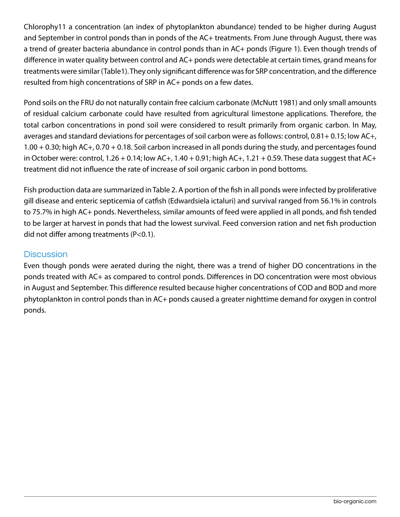Chlorophy11 a concentration (an index of phytoplankton abundance) tended to be higher during August and September in control ponds than in ponds of the AC+ treatments. From June through August, there was a trend of greater bacteria abundance in control ponds than in AC+ ponds (Figure 1). Even though trends of difference in water quality between control and AC+ ponds were detectable at certain times, grand means for treatments were similar (Table1). They only significant difference was for SRP concentration, and the difference resulted from high concentrations of SRP in AC+ ponds on a few dates.

Pond soils on the FRU do not naturally contain free calcium carbonate (McNutt 1981) and only small amounts of residual calcium carbonate could have resulted from agricultural limestone applications. Therefore, the total carbon concentrations in pond soil were considered to result primarily from organic carbon. In May, averages and standard deviations for percentages of soil carbon were as follows: control, 0.81+ 0.15; low AC+, 1.00 + 0.30; high AC+, 0.70 + 0.18. Soil carbon increased in all ponds during the study, and percentages found in October were: control,  $1.26 + 0.14$ ; low AC+,  $1.40 + 0.91$ ; high AC+,  $1.21 + 0.59$ . These data suggest that AC+ treatment did not influence the rate of increase of soil organic carbon in pond bottoms.

Fish production data are summarized in Table 2. A portion of the fish in all ponds were infected by proliferative gill disease and enteric septicemia of catfish (Edwardsiela ictaluri) and survival ranged from 56.1% in controls to 75.7% in high AC+ ponds. Nevertheless, similar amounts of feed were applied in all ponds, and fish tended to be larger at harvest in ponds that had the lowest survival. Feed conversion ration and net fish production did not differ among treatments (P<0.1).

## **Discussion**

Even though ponds were aerated during the night, there was a trend of higher DO concentrations in the ponds treated with AC+ as compared to control ponds. Differences in DO concentration were most obvious in August and September. This difference resulted because higher concentrations of COD and BOD and more phytoplankton in control ponds than in AC+ ponds caused a greater nighttime demand for oxygen in control ponds.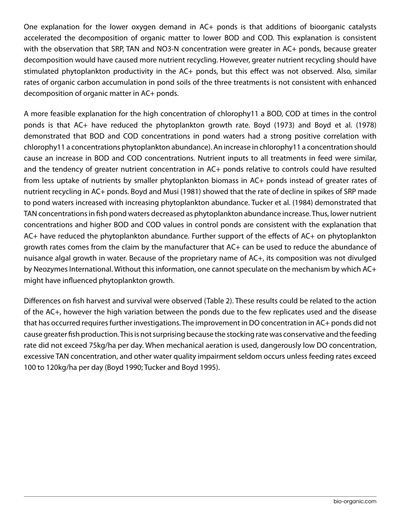One explanation for the lower oxygen demand in AC+ ponds is that additions of bioorganic catalysts accelerated the decomposition of organic matter to lower BOD and COD. This explanation is consistent with the observation that SRP, TAN and NO3-N concentration were greater in AC+ ponds, because greater decomposition would have caused more nutrient recycling. However, greater nutrient recycling should have stimulated phytoplankton productivity in the AC+ ponds, but this effect was not observed. Also, similar rates of organic carbon accumulation in pond soils of the three treatments is not consistent with enhanced decomposition of organic matter in AC+ ponds.

A more feasible explanation for the high concentration of chlorophy11 a BOD, COD at times in the control ponds is that AC+ have reduced the phytoplankton growth rate. Boyd (1973) and Boyd et al. (1978) demonstrated that BOD and COD concentrations in pond waters had a strong positive correlation with chlorophy11 a concentrations phytoplankton abundance). An increase in chlorophy11 a concentration should cause an increase in BOD and COD concentrations. Nutrient inputs to all treatments in feed were similar, and the tendency of greater nutrient concentration in AC+ ponds relative to controls could have resulted from less uptake of nutrients by smaller phytoplankton biomass in AC+ ponds instead of greater rates of nutrient recycling in AC+ ponds. Boyd and Musi (1981) showed that the rate of decline in spikes of SRP made to pond waters increased with increasing phytoplankton abundance. Tucker et al. (1984) demonstrated that TAN concentrations in fish pond waters decreased as phytoplankton abundance increase. Thus, lower nutrient concentrations and higher BOD and COD values in control ponds are consistent with the explanation that AC+ have reduced the phytoplankton abundance. Further support of the effects of AC+ on phytoplankton growth rates comes from the claim by the manufacturer that AC+ can be used to reduce the abundance of nuisance algal growth in water. Because of the proprietary name of AC+, its composition was not divulged by Neozymes International. Without this information, one cannot speculate on the mechanism by which AC+ might have influenced phytoplankton growth.

Differences on fish harvest and survival were observed (Table 2). These results could be related to the action of the AC+, however the high variation between the ponds due to the few replicates used and the disease that has occurred requires further investigations. The improvement in DO concentration in AC+ ponds did not cause greater fish production. This is not surprising because the stocking rate was conservative and the feeding rate did not exceed 75kg/ha per day. When mechanical aeration is used, dangerously low DO concentration, excessive TAN concentration, and other water quality impairment seldom occurs unless feeding rates exceed 100 to 120kg/ha per day (Boyd 1990; Tucker and Boyd 1995).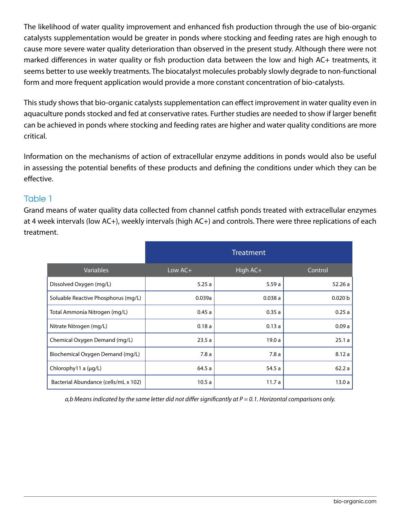The likelihood of water quality improvement and enhanced fish production through the use of bio-organic catalysts supplementation would be greater in ponds where stocking and feeding rates are high enough to cause more severe water quality deterioration than observed in the present study. Although there were not marked differences in water quality or fish production data between the low and high AC+ treatments, it seems better to use weekly treatments. The biocatalyst molecules probably slowly degrade to non-functional form and more frequent application would provide a more constant concentration of bio-catalysts.

This study shows that bio-organic catalysts supplementation can effect improvement in water quality even in aquaculture ponds stocked and fed at conservative rates. Further studies are needed to show if larger benefit can be achieved in ponds where stocking and feeding rates are higher and water quality conditions are more critical.

Information on the mechanisms of action of extracellular enzyme additions in ponds would also be useful in assessing the potential benefits of these products and defining the conditions under which they can be effective.

## Table 1

Grand means of water quality data collected from channel catfish ponds treated with extracellular enzymes at 4 week intervals (low AC+), weekly intervals (high AC+) and controls. There were three replications of each treatment.

|                                      | <b>Treatment</b> |          |                    |
|--------------------------------------|------------------|----------|--------------------|
| Variables                            | Low $AC+$        | High AC+ | Control            |
| Dissolved Oxygen (mg/L)              | 5.25a            | 5.59a    | 52.26a             |
| Soluable Reactive Phosphorus (mg/L)  | 0.039a           | 0.038a   | 0.020 <sub>b</sub> |
| Total Ammonia Nitrogen (mg/L)        | 0.45a            | 0.35a    | 0.25a              |
| Nitrate Nitrogen (mg/L)              | 0.18a            | 0.13a    | 0.09a              |
| Chemical Oxygen Demand (mg/L)        | 23.5a            | 19.0a    | 25.1a              |
| Biochemical Oxygen Demand (mg/L)     | 7.8a             | 7.8a     | 8.12a              |
| Chlorophy $11$ a ( $\mu$ g/L)        | 64.5 a           | 54.5 a   | 62.2a              |
| Bacterial Abundance (cells/mL x 102) | 10.5a            | 11.7 a   | 13.0a              |

*a,b Means indicated by the same letter did not differ significantly at P = 0.1. Horizontal comparisons only.*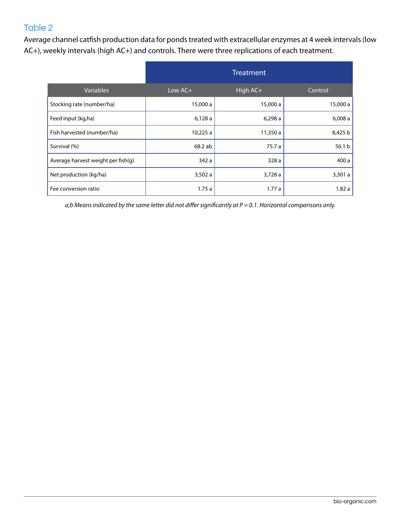# Table 2

Average channel catfish production data for ponds treated with extracellular enzymes at 4 week intervals (low AC+), weekly intervals (high AC+) and controls. There were three replications of each treatment.

|                                    | <b>Treatment</b> |          |                   |
|------------------------------------|------------------|----------|-------------------|
| <b>Variables</b>                   | Low $AC +$       | High AC+ | Control           |
| Stocking rate (number/ha)          | 15,000 a         | 15,000 a | 15,000 a          |
| Feed input (kg,ha)                 | 6,128a           | 6,298a   | 6,008a            |
| Fish harvested (number/ha)         | 10,225 a         | 11,350 a | 8,425 b           |
| Survival (%)                       | 68.2 ab          | 75.7 a   | 56.1 <sub>b</sub> |
| Average harvest weight per fish(g) | 342 a            | 328a     | 400 a             |
| Net production (kg/ha)             | 3,502a           | 3,728a   | 3,301a            |
| Fee conversion ratio               | 1.75a            | 1.77a    | 1.82a             |

*a,b Means indicated by the same letter did not differ significantly at P = 0.1. Horizontal comparisons only.*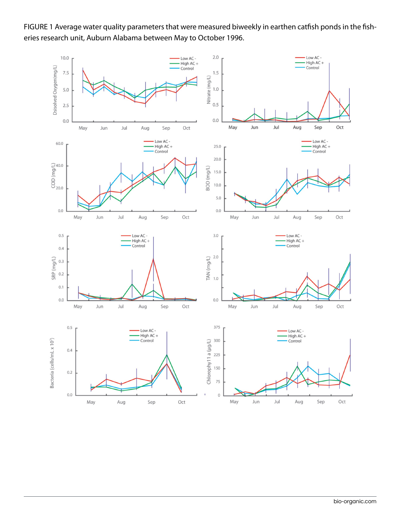FIGURE 1 Average water quality parameters that were measured biweekly in earthen catfish ponds in the fisheries research unit, Auburn Alabama between May to October 1996.